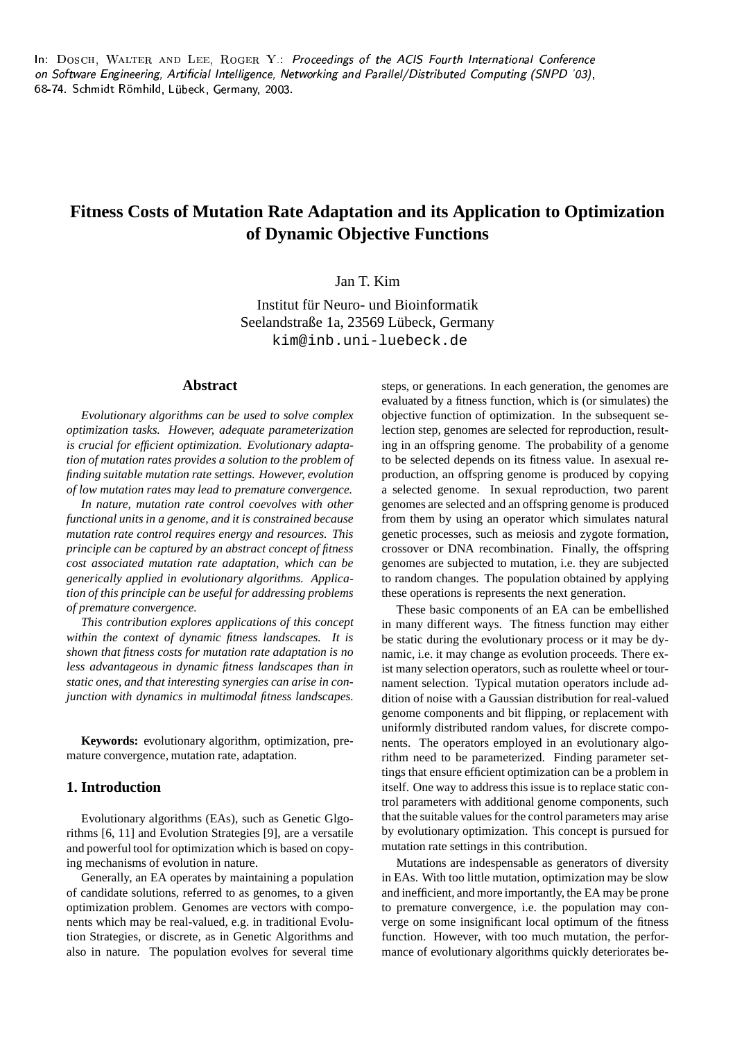$\ln$ : DOSCH. WALTER AND LEE,  $\rm{RogER}$   $\rm{Y.}$  Proceedings of the ACIS Fourth International Conference a.b2a: the sound of the contract of the contract of the contract of the contract of the contract of the contract of the contract of the contract of the contract of the contract of the contract of the contract of the contra 68-74. Schmidt Römhild, Lübeck, Germany, 2003.

# **Fitness Costs of Mutation Rate Adaptation and its Application to Optimization of Dynamic Objective Functions**

# Jan T. Kim

Institut für Neuro- und Bioinformatik Seelandstraße 1a, 23569 Lübeck, Germany kim@inb.uni-luebeck.de

### **Abstract**

*Evolutionary algorithms can be used to solve complex optimization tasks. However, adequate parameterization is crucial for efficient optimization. Evolutionary adaptation of mutation rates provides a solution to the problem of finding suitable mutation rate settings. However, evolution of low mutation rates may lead to premature convergence.*

*In nature, mutation rate control coevolves with other functional units in a genome, and it is constrained because mutation rate control requires energy and resources. This principle can be captured by an abstract concept of fitness cost associated mutation rate adaptation, which can be generically applied in evolutionary algorithms. Application of this principle can be useful for addressing problems of premature convergence.*

*This contribution explores applications of this concept within the context of dynamic fitness landscapes. It is shown that fitness costs for mutation rate adaptation is no less advantageous in dynamic fitness landscapes than in static ones, and that interesting synergies can arise in conjunction with dynamics in multimodal fitness landscapes.*

**Keywords:** evolutionary algorithm, optimization, premature convergence, mutation rate, adaptation.

## **1. Introduction**

Evolutionary algorithms (EAs), such as Genetic Glgorithms [6, 11] and Evolution Strategies [9], are a versatile and powerful tool for optimization which is based on copying mechanisms of evolution in nature.

Generally, an EA operates by maintaining a population of candidate solutions, referred to as genomes, to a given optimization problem. Genomes are vectors with components which may be real-valued, e.g. in traditional Evolution Strategies, or discrete, as in Genetic Algorithms and also in nature. The population evolves for several time

steps, or generations. In each generation, the genomes are evaluated by a fitness function, which is (or simulates) the objective function of optimization. In the subsequent selection step, genomes are selected for reproduction, resulting in an offspring genome. The probability of a genome to be selected depends on its fitness value. In asexual reproduction, an offspring genome is produced by copying a selected genome. In sexual reproduction, two parent genomes are selected and an offspring genome is produced from them by using an operator which simulates natural genetic processes, such as meiosis and zygote formation, crossover or DNA recombination. Finally, the offspring genomes are subjected to mutation, i.e. they are subjected to random changes. The population obtained by applying these operations is represents the next generation.

These basic components of an EA can be embellished in many different ways. The fitness function may either be static during the evolutionary process or it may be dynamic, i.e. it may change as evolution proceeds. There exist many selection operators, such as roulette wheel or tournament selection. Typical mutation operators include addition of noise with a Gaussian distribution for real-valued genome components and bit flipping, or replacement with uniformly distributed random values, for discrete components. The operators employed in an evolutionary algorithm need to be parameterized. Finding parameter settings that ensure efficient optimization can be a problem in itself. One way to address this issue is to replace static control parameters with additional genome components, such that the suitable values for the control parameters may arise by evolutionary optimization. This concept is pursued for mutation rate settings in this contribution.

Mutations are indespensable as generators of diversity in EAs. With too little mutation, optimization may be slow and inefficient, and more importantly, the EA may be prone to premature convergence, i.e. the population may converge on some insignificant local optimum of the fitness function. However, with too much mutation, the performance of evolutionary algorithms quickly deteriorates be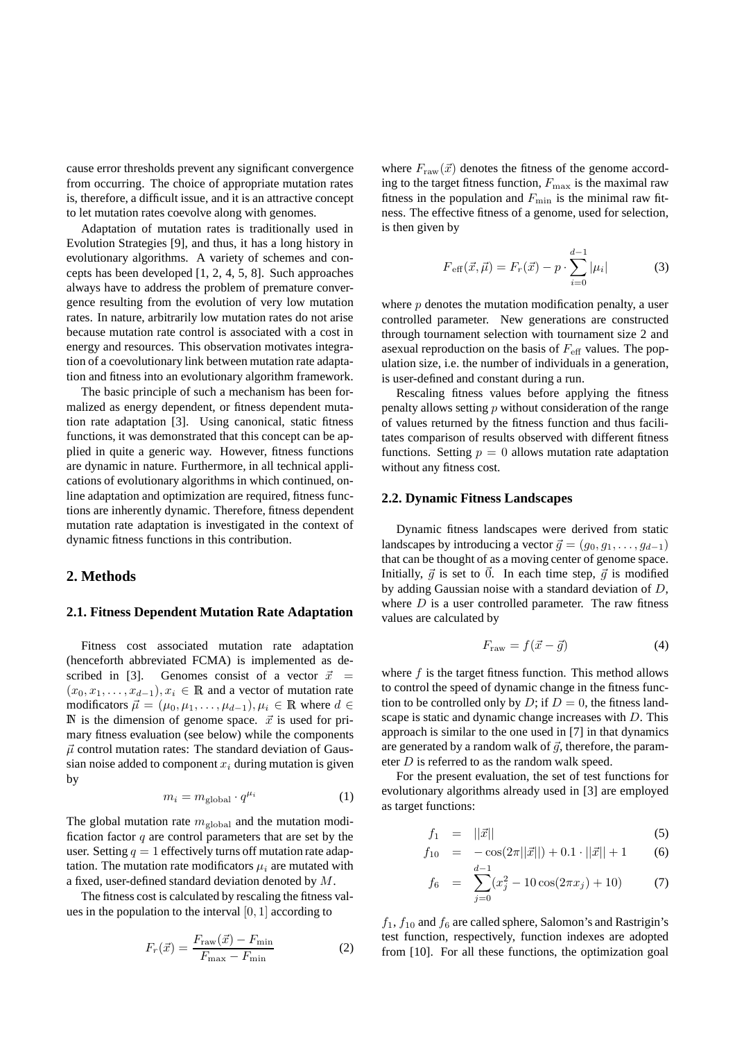cause error thresholds prevent any significant convergence from occurring. The choice of appropriate mutation rates is, therefore, a difficult issue, and it is an attractive concept to let mutation rates coevolve along with genomes.

Adaptation of mutation rates is traditionally used in Evolution Strategies [9], and thus, it has a long history in evolutionary algorithms. A variety of schemes and concepts has been developed [1, 2, 4, 5, 8]. Such approaches always have to address the problem of premature convergence resulting from the evolution of very low mutation rates. In nature, arbitrarily low mutation rates do not arise because mutation rate control is associated with a cost in energy and resources. This observation motivates integration of a coevolutionary link between mutation rate adaptation and fitness into an evolutionary algorithm framework.

The basic principle of such a mechanism has been formalized as energy dependent, or fitness dependent mutation rate adaptation [3]. Using canonical, static fitness functions, it was demonstrated that this concept can be applied in quite a generic way. However, fitness functions are dynamic in nature. Furthermore, in all technical applications of evolutionary algorithms in which continued, online adaptation and optimization are required, fitness functions are inherently dynamic. Therefore, fitness dependent mutation rate adaptation is investigated in the context of dynamic fitness functions in this contribution.

# **2. Methods**

#### **2.1. Fitness Dependent Mutation Rate Adaptation**

Fitness cost associated mutation rate adaptation (henceforth abbreviated FCMA) is implemented as described in [3]. Genomes consist of a vector  $\vec{x}$  =  $(x_0, x_1, \ldots, x_{d-1}), x_i \in \mathbb{R}$  and a vector of mutation rate modificators  $\vec{\mu} = (\mu_0, \mu_1, \dots, \mu_{d-1}), \mu_i \in \mathbb{R}$  where  $d \in$ IN is the dimension of genome space.  $\vec{x}$  is used for primary fitness evaluation (see below) while the components  $\vec{\mu}$  control mutation rates: The standard deviation of Gaussian noise added to component  $x_i$  during mutation is given by

$$
m_i = m_{\text{global}} \cdot q^{\mu_i} \tag{1}
$$

The global mutation rate  $m_{\text{global}}$  and the mutation modification factor  $q$  are control parameters that are set by the user. Setting  $q = 1$  effectively turns off mutation rate adaptation. The mutation rate modificators  $\mu_i$  are mutated with a fixed, user-defined standard deviation denoted by M.

The fitness cost is calculated by rescaling the fitness values in the population to the interval  $[0, 1]$  according to

$$
F_r(\vec{x}) = \frac{F_{\text{raw}}(\vec{x}) - F_{\text{min}}}{F_{\text{max}} - F_{\text{min}}} \tag{2}
$$

where  $F_{\text{raw}}(\vec{x})$  denotes the fitness of the genome according to the target fitness function,  $F_{\text{max}}$  is the maximal raw fitness in the population and  $F_{\text{min}}$  is the minimal raw fitness. The effective fitness of a genome, used for selection, is then given by

$$
F_{\text{eff}}(\vec{x}, \vec{\mu}) = F_r(\vec{x}) - p \cdot \sum_{i=0}^{d-1} |\mu_i| \tag{3}
$$

where  $p$  denotes the mutation modification penalty, a user controlled parameter. New generations are constructed through tournament selection with tournament size 2 and asexual reproduction on the basis of  $F_{\text{eff}}$  values. The population size, i.e. the number of individuals in a generation, is user-defined and constant during a run.

Rescaling fitness values before applying the fitness penalty allows setting  $p$  without consideration of the range of values returned by the fitness function and thus facilitates comparison of results observed with different fitness functions. Setting  $p = 0$  allows mutation rate adaptation without any fitness cost.

#### **2.2. Dynamic Fitness Landscapes**

Dynamic fitness landscapes were derived from static landscapes by introducing a vector  $\vec{g} = (g_0, g_1, \dots, g_{d-1})$ that can be thought of as a moving center of genome space. Initially,  $\vec{g}$  is set to  $\vec{0}$ . In each time step,  $\vec{g}$  is modified by adding Gaussian noise with a standard deviation of D, where  $D$  is a user controlled parameter. The raw fitness values are calculated by

$$
F_{\text{raw}} = f(\vec{x} - \vec{g}) \tag{4}
$$

where  $f$  is the target fitness function. This method allows to control the speed of dynamic change in the fitness function to be controlled only by D; if  $D = 0$ , the fitness landscape is static and dynamic change increases with D. This approach is similar to the one used in [7] in that dynamics are generated by a random walk of  $\vec{q}$ , therefore, the parameter *D* is referred to as the random walk speed.

For the present evaluation, the set of test functions for evolutionary algorithms already used in [3] are employed as target functions:

$$
f_1 = ||\vec{x}|| \tag{5}
$$

$$
f_{10} = -\cos(2\pi||\vec{x}||) + 0.1 \cdot ||\vec{x}|| + 1 \qquad (6)
$$

$$
f_6 = \sum_{j=0}^{d-1} (x_j^2 - 10\cos(2\pi x_j) + 10)
$$
 (7)

 $f_1$ ,  $f_{10}$  and  $f_6$  are called sphere, Salomon's and Rastrigin's test function, respectively, function indexes are adopted from [10]. For all these functions, the optimization goal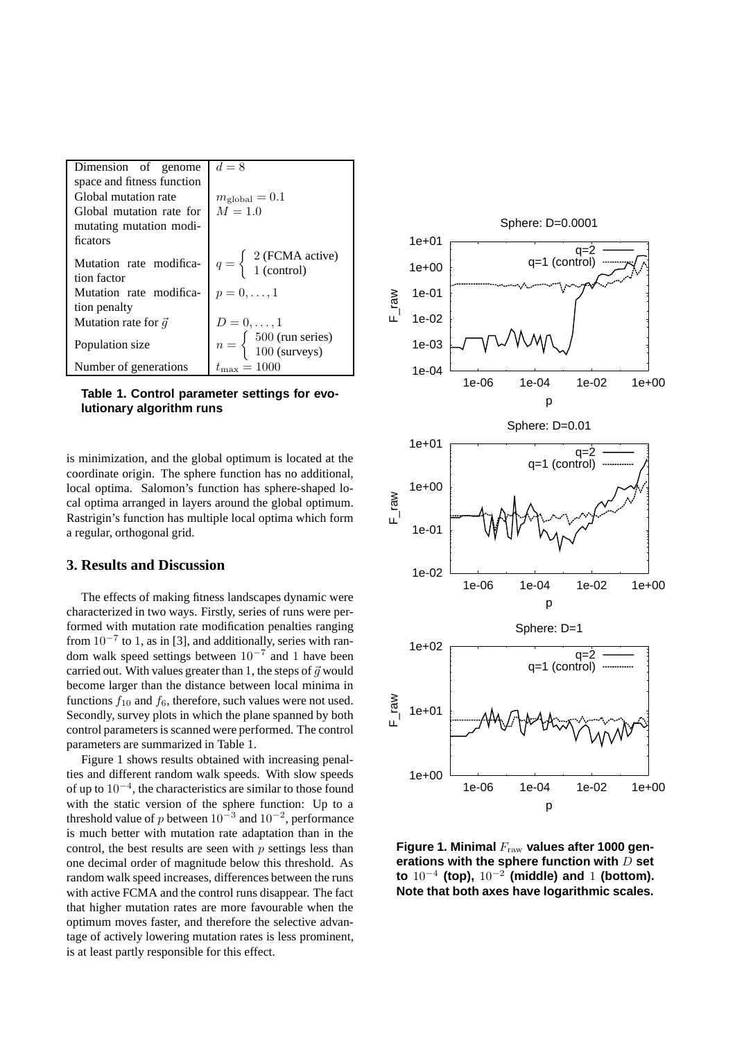| Dimension of genome                    | $d=8$                                                                             |
|----------------------------------------|-----------------------------------------------------------------------------------|
| space and fitness function             |                                                                                   |
| Global mutation rate                   | $m_{\rm global}=0.1$                                                              |
| Global mutation rate for               | $M = 1.0$                                                                         |
| mutating mutation modi-                |                                                                                   |
| ficators                               |                                                                                   |
| Mutation rate modifica-<br>tion factor | $q = \begin{cases} 2 \text{ (FCMA active)} \\ 1 \text{ (control)} \end{cases}$    |
| Mutation rate modifica-                | $p=0,\ldots,1$                                                                    |
| tion penalty                           |                                                                                   |
| Mutation rate for $\vec{q}$            | $D=0,\ldots,1$                                                                    |
| Population size                        | $n = \begin{cases} 500 \text{ (run series)} \\ 100 \text{ (surveys)} \end{cases}$ |
| Number of generations                  | $t_{\max} = 1000$                                                                 |

**Table 1. Control parameter settings for evolutionary algorithm runs**

is minimization, and the global optimum is located at the coordinate origin. The sphere function has no additional, local optima. Salomon's function has sphere-shaped local optima arranged in layers around the global optimum. Rastrigin's function has multiple local optima which form a regular, orthogonal grid.

### **3. Results and Discussion**

The effects of making fitness landscapes dynamic were characterized in two ways. Firstly, series of runs were performed with mutation rate modification penalties ranging from  $10^{-7}$  to 1, as in [3], and additionally, series with random walk speed settings between  $10^{-7}$  and 1 have been carried out. With values greater than 1, the steps of  $\vec{g}$  would become larger than the distance between local minima in functions  $f_{10}$  and  $f_6$ , therefore, such values were not used. Secondly, survey plots in which the plane spanned by both control parametersis scanned were performed. The control parameters are summarized in Table 1.

Figure 1 shows results obtained with increasing penalties and different random walk speeds. With slow speeds of up to 10<sup>−</sup><sup>4</sup> , the characteristics are similar to those found with the static version of the sphere function: Up to a threshold value of p between  $10^{-3}$  and  $10^{-2}$ , performance is much better with mutation rate adaptation than in the control, the best results are seen with  $p$  settings less than one decimal order of magnitude below this threshold. As random walk speed increases, differences between the runs with active FCMA and the control runs disappear. The fact that higher mutation rates are more favourable when the optimum moves faster, and therefore the selective advantage of actively lowering mutation rates is less prominent, is at least partly responsible for this effect.



**Figure 1. Minimal** Fraw **values after 1000 generations with the sphere function with** D **set to** 10<sup>−</sup><sup>4</sup> **(top),** 10<sup>−</sup><sup>2</sup> **(middle) and** 1 **(bottom). Note that both axes have logarithmic scales.**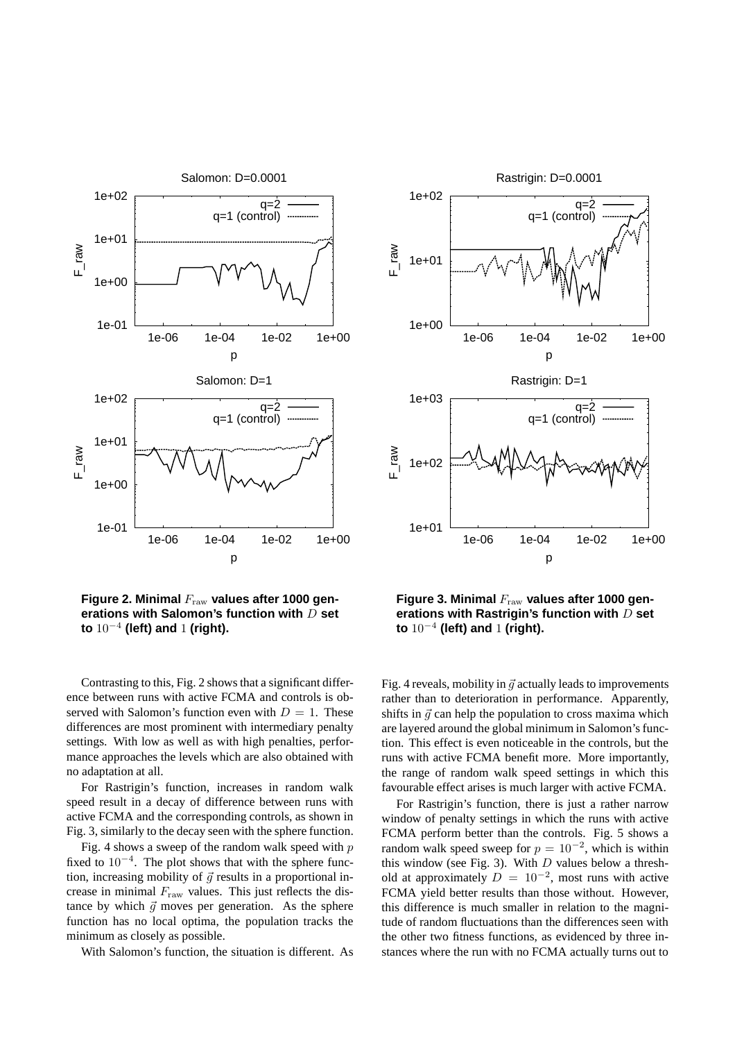

**Figure 2. Minimal** Fraw **values after 1000 generations with Salomon's function with** D **set to** 10<sup>−</sup><sup>4</sup> **(left) and** 1 **(right).**

Contrasting to this, Fig. 2 shows that a significant difference between runs with active FCMA and controls is observed with Salomon's function even with  $D = 1$ . These differences are most prominent with intermediary penalty settings. With low as well as with high penalties, performance approaches the levels which are also obtained with no adaptation at all.

For Rastrigin's function, increases in random walk speed result in a decay of difference between runs with active FCMA and the corresponding controls, as shown in Fig. 3, similarly to the decay seen with the sphere function.

Fig. 4 shows a sweep of the random walk speed with  $p$ fixed to 10<sup>−</sup><sup>4</sup> . The plot shows that with the sphere function, increasing mobility of  $\vec{g}$  results in a proportional increase in minimal  $F_{\text{raw}}$  values. This just reflects the distance by which  $\vec{g}$  moves per generation. As the sphere function has no local optima, the population tracks the minimum as closely as possible.

With Salomon's function, the situation is different. As



**Figure 3. Minimal** Fraw **values after 1000 generations with Rastrigin's function with** D **set to** 10<sup>−</sup><sup>4</sup> **(left) and** 1 **(right).**

Fig. 4 reveals, mobility in  $\vec{q}$  actually leads to improvements rather than to deterioration in performance. Apparently, shifts in  $\vec{g}$  can help the population to cross maxima which are layered around the global minimum in Salomon's function. This effect is even noticeable in the controls, but the runs with active FCMA benefit more. More importantly, the range of random walk speed settings in which this favourable effect arises is much larger with active FCMA.

For Rastrigin's function, there is just a rather narrow window of penalty settings in which the runs with active FCMA perform better than the controls. Fig. 5 shows a random walk speed sweep for  $p = 10^{-2}$ , which is within this window (see Fig. 3). With  $D$  values below a threshold at approximately  $D = 10^{-2}$ , most runs with active FCMA yield better results than those without. However, this difference is much smaller in relation to the magnitude of random fluctuations than the differences seen with the other two fitness functions, as evidenced by three instances where the run with no FCMA actually turns out to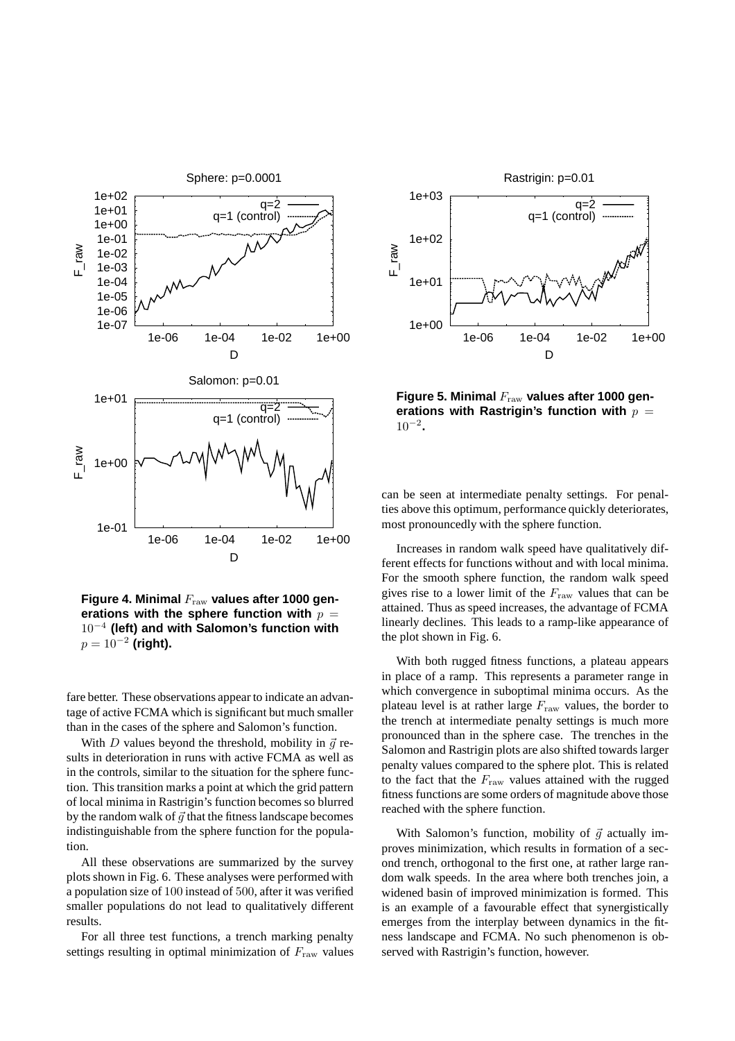

**Figure 4. Minimal** Fraw **values after 1000 generations** with the sphere function with  $p =$ 10<sup>−</sup><sup>4</sup> **(left) and with Salomon's function with**  $p = 10^{-2}$  (right).

fare better. These observations appear to indicate an advantage of active FCMA which is significant but much smaller than in the cases of the sphere and Salomon's function.

With D values beyond the threshold, mobility in  $\vec{q}$  results in deterioration in runs with active FCMA as well as in the controls, similar to the situation for the sphere function. This transition marks a point at which the grid pattern of local minima in Rastrigin's function becomes so blurred by the random walk of  $\vec{g}$  that the fitness landscape becomes indistinguishable from the sphere function for the population.

All these observations are summarized by the survey plots shown in Fig. 6. These analyses were performed with a population size of 100 instead of 500, after it was verified smaller populations do not lead to qualitatively different results.

For all three test functions, a trench marking penalty settings resulting in optimal minimization of  $F_{\text{raw}}$  values



**Figure 5. Minimal** Fraw **values after 1000 generations** with Rastrigin's function with  $p =$ 10<sup>−</sup><sup>2</sup> **.**

can be seen at intermediate penalty settings. For penalties above this optimum, performance quickly deteriorates, most pronouncedly with the sphere function.

Increases in random walk speed have qualitatively different effects for functions without and with local minima. For the smooth sphere function, the random walk speed gives rise to a lower limit of the  $F_{\text{raw}}$  values that can be attained. Thus as speed increases, the advantage of FCMA linearly declines. This leads to a ramp-like appearance of the plot shown in Fig. 6.

With both rugged fitness functions, a plateau appears in place of a ramp. This represents a parameter range in which convergence in suboptimal minima occurs. As the plateau level is at rather large  $F_{\text{raw}}$  values, the border to the trench at intermediate penalty settings is much more pronounced than in the sphere case. The trenches in the Salomon and Rastrigin plots are also shifted towards larger penalty values compared to the sphere plot. This is related to the fact that the  $F_{\text{raw}}$  values attained with the rugged fitness functions are some orders of magnitude above those reached with the sphere function.

With Salomon's function, mobility of  $\vec{q}$  actually improves minimization, which results in formation of a second trench, orthogonal to the first one, at rather large random walk speeds. In the area where both trenches join, a widened basin of improved minimization is formed. This is an example of a favourable effect that synergistically emerges from the interplay between dynamics in the fitness landscape and FCMA. No such phenomenon is observed with Rastrigin's function, however.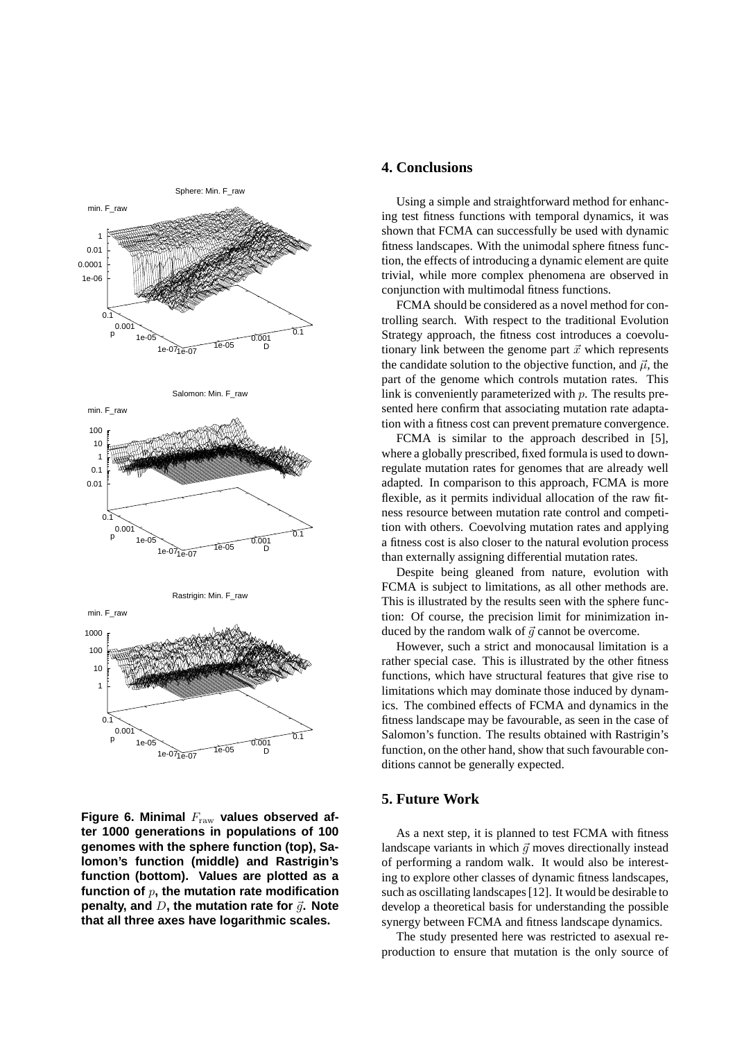

Figure 6. Minimal  $F_{\text{raw}}$  values observed af**ter 1000 generations in populations of 100 genomes with the sphere function (top), Salomon's function (middle) and Rastrigin's function (bottom). Values are plotted as a function of** p**, the mutation rate modification penalty, and**  $D$ , the mutation rate for  $\vec{q}$ . Note **that all three axes have logarithmic scales.**

### **4. Conclusions**

Using a simple and straightforward method for enhancing test fitness functions with temporal dynamics, it was shown that FCMA can successfully be used with dynamic fitness landscapes. With the unimodal sphere fitness function, the effects of introducing a dynamic element are quite trivial, while more complex phenomena are observed in conjunction with multimodal fitness functions.

FCMA should be considered as a novel method for controlling search. With respect to the traditional Evolution Strategy approach, the fitness cost introduces a coevolutionary link between the genome part  $\vec{x}$  which represents the candidate solution to the objective function, and  $\vec{\mu}$ , the part of the genome which controls mutation rates. This link is conveniently parameterized with  $p$ . The results presented here confirm that associating mutation rate adaptation with a fitness cost can prevent premature convergence.

FCMA is similar to the approach described in [5], where a globally prescribed, fixed formula is used to downregulate mutation rates for genomes that are already well adapted. In comparison to this approach, FCMA is more flexible, as it permits individual allocation of the raw fitness resource between mutation rate control and competition with others. Coevolving mutation rates and applying a fitness cost is also closer to the natural evolution process than externally assigning differential mutation rates.

Despite being gleaned from nature, evolution with FCMA is subject to limitations, as all other methods are. This is illustrated by the results seen with the sphere function: Of course, the precision limit for minimization induced by the random walk of  $\vec{q}$  cannot be overcome.

However, such a strict and monocausal limitation is a rather special case. This is illustrated by the other fitness functions, which have structural features that give rise to limitations which may dominate those induced by dynamics. The combined effects of FCMA and dynamics in the fitness landscape may be favourable, as seen in the case of Salomon's function. The results obtained with Rastrigin's function, on the other hand, show that such favourable conditions cannot be generally expected.

## **5. Future Work**

As a next step, it is planned to test FCMA with fitness landscape variants in which  $\vec{q}$  moves directionally instead of performing a random walk. It would also be interesting to explore other classes of dynamic fitness landscapes, such as oscillating landscapes[12]. It would be desirable to develop a theoretical basis for understanding the possible synergy between FCMA and fitness landscape dynamics.

The study presented here was restricted to asexual reproduction to ensure that mutation is the only source of